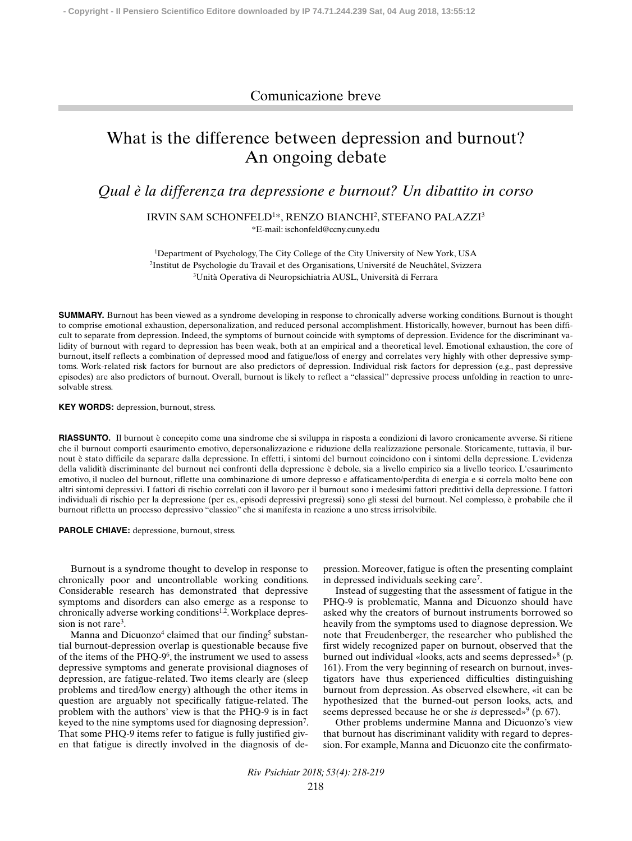## Comunicazione breve

## What is the difference between depression and burnout? An ongoing debate

*Qual è la differenza tra depressione e burnout? Un dibattito in corso*

IRVIN SAM SCHONFELD1\*, RENZO BIANCHI2 , STEFANO PALAZZI3 \*E-mail: ischonfeld@ccny.cuny.edu

<sup>1</sup>Department of Psychology, The City College of the City University of New York, USA 2Institut de Psychologie du Travail et des Organisations, Université de Neuchâtel, Svizzera 3Unità Operativa di Neuropsichiatria AUSL, Università di Ferrara

**SUMMARY.** Burnout has been viewed as a syndrome developing in response to chronically adverse working conditions. Burnout is thought to comprise emotional exhaustion, depersonalization, and reduced personal accomplishment. Historically, however, burnout has been difficult to separate from depression. Indeed, the symptoms of burnout coincide with symptoms of depression. Evidence for the discriminant validity of burnout with regard to depression has been weak, both at an empirical and a theoretical level. Emotional exhaustion, the core of burnout, itself reflects a combination of depressed mood and fatigue/loss of energy and correlates very highly with other depressive symptoms. Work-related risk factors for burnout are also predictors of depression. Individual risk factors for depression (e.g., past depressive episodes) are also predictors of burnout. Overall, burnout is likely to reflect a "classical" depressive process unfolding in reaction to unresolvable stress.

**KEY WORDS:** depression, burnout, stress.

**RIASSUNTO.** Il burnout è concepito come una sindrome che si sviluppa in risposta a condizioni di lavoro cronicamente avverse. Si ritiene che il burnout comporti esaurimento emotivo, depersonalizzazione e riduzione della realizzazione personale. Storicamente, tuttavia, il burnout è stato difficile da separare dalla depressione. In effetti, i sintomi del burnout coincidono con i sintomi della depressione. L'evidenza della validità discriminante del burnout nei confronti della depressione è debole, sia a livello empirico sia a livello teorico. L'esaurimento emotivo, il nucleo del burnout, riflette una combinazione di umore depresso e affaticamento/perdita di energia e si correla molto bene con altri sintomi depressivi. I fattori di rischio correlati con il lavoro per il burnout sono i medesimi fattori predittivi della depressione. I fattori individuali di rischio per la depressione (per es., episodi depressivi pregressi) sono gli stessi del burnout. Nel complesso, è probabile che il burnout rifletta un processo depressivo "classico" che si manifesta in reazione a uno stress irrisolvibile.

**PAROLE CHIAVE:** depressione, burnout, stress.

Burnout is a syndrome thought to develop in response to chronically poor and uncontrollable working conditions. Considerable research has demonstrated that depressive symptoms and disorders can also emerge as a response to chronically adverse working conditions<sup>1,2</sup>. Workplace depression is not rare<sup>3</sup>.

Manna and Dicuonzo<sup>4</sup> claimed that our finding<sup>5</sup> substantial burnout-depression overlap is questionable because five of the items of the PHQ-96, the instrument we used to assess depressive symptoms and generate provisional diagnoses of depression, are fatigue-related. Two items clearly are (sleep problems and tired/low energy) although the other items in question are arguably not specifically fatigue-related. The problem with the authors' view is that the PHQ-9 is in fact keyed to the nine symptoms used for diagnosing depression7. That some PHQ-9 items refer to fatigue is fully justified given that fatigue is directly involved in the diagnosis of depression. Moreover, fatigue is often the presenting complaint in depressed individuals seeking care7.

Instead of suggesting that the assessment of fatigue in the PHQ-9 is problematic, Manna and Dicuonzo should have asked why the creators of burnout instruments borrowed so heavily from the symptoms used to diagnose depression.We note that Freudenberger, the researcher who published the first widely recognized paper on burnout, observed that the burned out individual «looks, acts and seems depressed»8 (p. 161). From the very beginning of research on burnout, investigators have thus experienced difficulties distinguishing burnout from depression. As observed elsewhere, «it can be hypothesized that the burned-out person looks, acts, and seems depressed because he or she *is* depressed»<sup>9</sup> (p. 67).

Other problems undermine Manna and Dicuonzo's view that burnout has discriminant validity with regard to depression. For example, Manna and Dicuonzo cite the confirmato